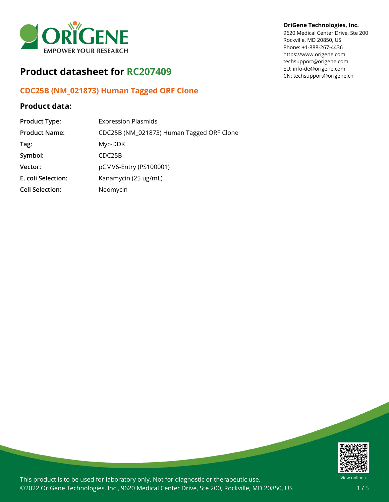

# **Product datasheet for RC207409**

# **CDC25B (NM\_021873) Human Tagged ORF Clone**

## **Product data:**

| <b>Product Type:</b>   | <b>Expression Plasmids</b>                |
|------------------------|-------------------------------------------|
| <b>Product Name:</b>   | CDC25B (NM_021873) Human Tagged ORF Clone |
| Tag:                   | Myc-DDK                                   |
| Symbol:                | CDC25B                                    |
| Vector:                | pCMV6-Entry (PS100001)                    |
| E. coli Selection:     | Kanamycin (25 ug/mL)                      |
| <b>Cell Selection:</b> | Neomycin                                  |

#### **OriGene Technologies, Inc.**

9620 Medical Center Drive, Ste 200 Rockville, MD 20850, US Phone: +1-888-267-4436 https://www.origene.com techsupport@origene.com EU: info-de@origene.com CN: techsupport@origene.cn



This product is to be used for laboratory only. Not for diagnostic or therapeutic use. ©2022 OriGene Technologies, Inc., 9620 Medical Center Drive, Ste 200, Rockville, MD 20850, US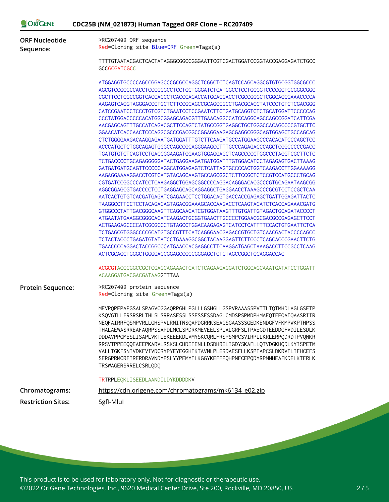|                                    | CDC25B (NM_021873) Human Tagged ORF Clone - RC207409                                                                                                                                                                                                                                                                                                                                                                                                                                                                                                                                                                                                                                                                                                                                                                                                                                                                                                                                                                                                                                                                                              |
|------------------------------------|---------------------------------------------------------------------------------------------------------------------------------------------------------------------------------------------------------------------------------------------------------------------------------------------------------------------------------------------------------------------------------------------------------------------------------------------------------------------------------------------------------------------------------------------------------------------------------------------------------------------------------------------------------------------------------------------------------------------------------------------------------------------------------------------------------------------------------------------------------------------------------------------------------------------------------------------------------------------------------------------------------------------------------------------------------------------------------------------------------------------------------------------------|
| <b>ORF Nucleotide</b><br>Sequence: | >RC207409 ORF sequence<br>Red=Cloning site Blue=ORF Green=Tags(s)                                                                                                                                                                                                                                                                                                                                                                                                                                                                                                                                                                                                                                                                                                                                                                                                                                                                                                                                                                                                                                                                                 |
|                                    |                                                                                                                                                                                                                                                                                                                                                                                                                                                                                                                                                                                                                                                                                                                                                                                                                                                                                                                                                                                                                                                                                                                                                   |
|                                    | TTTTGTAATACGACTCACTATAGGGCGGCCGGGAATTCGTCGACTGGATCCGGTACCGAGGAGATCTGCC<br>GCCGCGATCGCC                                                                                                                                                                                                                                                                                                                                                                                                                                                                                                                                                                                                                                                                                                                                                                                                                                                                                                                                                                                                                                                            |
|                                    | CGCTTCCTCGCCGGTCACCACCCTCACCCAGACCATGCACGACCTCGCCGGGCTCGGCAGCGAAACCCCA<br>AAGAGTCAGGTAGGGACCCTGCTCTTCCGCAGCCGCAGCCGCCTGACGCACCTATCCCTGTCTCGACGGG<br>CATCCGAATCCTCCCTGTCGTCTGAATCCTCCGAATCTTCTGATGCAGGTCTCTGCATGGATTCCCCCAG<br>AACGAGCAGTTTGCCATCAGACGCTTCCAGTCTATGCCGGTGAGGCTGCTGGGCCACAGCCCCGTGCTTC<br>GGAACATCACCAACTCCCAGGCGCCCGACGGCCGGAGGAAGAGCGAGGCGGCAGTGGAGCTGCCAGCAG<br>CTCTGGGGAAGACAAGGAGAATGATGGATTTGTCTTCAAGATGCCATGGAAGCCCACACATCCCAGCTCC<br>ACCCATGCTCTGGCAGAGTGGGCCAGCCGCAGGGAAGCCTTTGCCCAGAGACCCAGCTCGGCCCCCGACC<br>TGATGTGTCTCAGTCCTGACCGGAAGATGGAAGTGGAGGAGCTCAGCCCCCTGGCCCTAGGTCGCTTCTC<br>TCTGACCCCTGCAGAGGGGGATACTGAGGAAGATGATGGATTTGTGGACATCCTAGAGAGTGACTTAAAG<br>GATGATGATGCAGTTCCCCCAGGCATGGAGAGTCTCATTAGTGCCCCACTGGTCAAGACCTTGGAAAAGG<br>AAGAGGAAAAGGACCTCGTCATGTACAGCAAGTGCCAGCGGCTCTTCCGCTCTCCGTCCATGCCCTGCAG<br>CGTGATCCGGCCCATCCTCAAGAGGCTGGAGCGGCCCCAGGACAGGGACACGCCCGTGCAGAATAAGCGG<br>AGGCGGAGCGTGACCCCTCCTGAGGAGCAGCAGGAGGCTGAGGAACCTAAAGCCCGCGTCCTCCGCTCAA<br>AATCACTGTGTCACGATGAGATCGAGAACCTCCTGGACAGTGACCACCGAGAGCTGATTGGAGATTACTC<br>TAAGGCCTTCCTCCTACAGACAGTAGACGGAAAGCACCAAGACCTCAAGTACATCTCACCAGAAACGATG |
|                                    | GTGGCCCTATTGACGGGCAAGTTCAGCAACATCGTGGATAAGTTTGTGATTGTAGACTGCAGATACCCCT<br>ATGAATATGAAGGCGGGCACATCAAGACTGCGGTGAACTTGCCCCTGGAACGCGACGCCGAGAGCTTCCT<br>ACTGAAGAGCCCCATCGCGCCCTGTAGCCTGGACAAGAGAGTCATCCTCATTTTCCACTGTGAATTCTCA<br>TCTGAGCGTGGGCCCCGCATGTGCCGTTTCATCAGGGAACGAGACCGTGCTGTCAACGACTACCCCAGCC<br>TCTACTACCCTGAGATGTATATCCTGAAAGGCGGCTACAAGGAGTTCTTCCCTCAGCACCCGAACTTCTG<br>TGAACCCCAGGACTACCGGCCCATGAACCACGAGGCCTTCAAGGATGAGCTAAAGACCTTCCGCCTCAAG                                                                                                                                                                                                                                                                                                                                                                                                                                                                                                                                                                                                                                                                                          |
|                                    | ACTCGCAGCTGGGCTGGGGAGCGGAGCCGGCGGAGCTCTGTAGCCGGCTGCAGGACCAG<br>ACGCGTACGCGGCCGCTCGAGCAGAAACTCATCTCAGAAGAGGATCTGGCAGCAAATGATATCCTGGATT<br>ACAAGGATGACGACGATAAGGTTTAA                                                                                                                                                                                                                                                                                                                                                                                                                                                                                                                                                                                                                                                                                                                                                                                                                                                                                                                                                                               |
| <b>Protein Sequence:</b>           | >RC207409 protein sequence<br>Red=Cloning site Green=Tags(s)                                                                                                                                                                                                                                                                                                                                                                                                                                                                                                                                                                                                                                                                                                                                                                                                                                                                                                                                                                                                                                                                                      |
|                                    | MEVPQPEPAPGSALSPAGVCGGAQRPGHLPGLLLGSHGLLGSPVRAAASSPVTTLTQTMHDLAGLGSETP<br>KSQVGTLLFRSRSRLTHLSLSRRASESSLSSESSESSDAGLCMDSPSPMDPHMAEQTFEQAIQAASRIIR<br>NEQFAIRRFQSMPVRLLGHSPVLRNITNSQAPDGRRKSEAGSGAASSSGEDKENDGFVFKMPWKPTHPSS<br>THALAEWASRREAFAQRPSSAPDLMCLSPDRKMEVEELSPLALGRFSLTPAEGDTEEDDGFVDILESDLK<br>DDDAVPPGMESLISAPLVKTLEKEEEKDLVMYSKCQRLFRSPSMPCSVIRPILKRLERPQDRDTPVQNKR<br>RRSVTPPEEQQEAEEPKARVLRSKSLCHDEIENLLDSDHRELIGDYSKAFLLQTVDGKHQDLKYISPETM<br>VALLTGKFSNIVDKFVIVDCRYPYEYEGGHIKTAVNLPLERDAESFLLKSPIAPCSLDKRVILIFHCEFS<br>SERGPRMCRFIRERDRAVNDYPSLYYPEMYILKGGYKEFFPQHPNFCEPQDYRPMNHEAFKDELKTFRLK<br>TRSWAGERSRRELCSRLQDQ                                                                                                                                                                                                                                                                                                                                                                                                                                                                                                              |
|                                    | TRTRPLEQKLISEEDLAANDILDYKDDDDKV                                                                                                                                                                                                                                                                                                                                                                                                                                                                                                                                                                                                                                                                                                                                                                                                                                                                                                                                                                                                                                                                                                                   |
|                                    |                                                                                                                                                                                                                                                                                                                                                                                                                                                                                                                                                                                                                                                                                                                                                                                                                                                                                                                                                                                                                                                                                                                                                   |
| Chromatograms:                     | https://cdn.origene.com/chromatograms/mk6134_e02.zip                                                                                                                                                                                                                                                                                                                                                                                                                                                                                                                                                                                                                                                                                                                                                                                                                                                                                                                                                                                                                                                                                              |

 $O<sub>R</sub>$  $O<sub>R</sub>$  $O<sub>R</sub>$  $O<sub>R</sub>$  $O<sub>R</sub>$ 

This product is to be used for laboratory only. Not for diagnostic or therapeutic use. ©2022 OriGene Technologies, Inc., 9620 Medical Center Drive, Ste 200, Rockville, MD 20850, US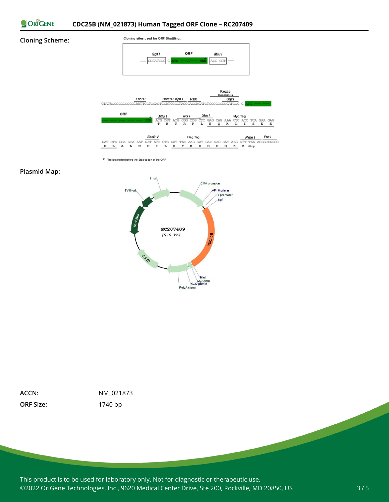

#### **Cloning Scheme:**



\* The last codon before the Stop codon of the ORF

#### **Plasmid Map:**



**ORF Size:** 1740 bp

**ACCN:** NM\_021873

This product is to be used for laboratory only. Not for diagnostic or therapeutic use. ©2022 OriGene Technologies, Inc., 9620 Medical Center Drive, Ste 200, Rockville, MD 20850, US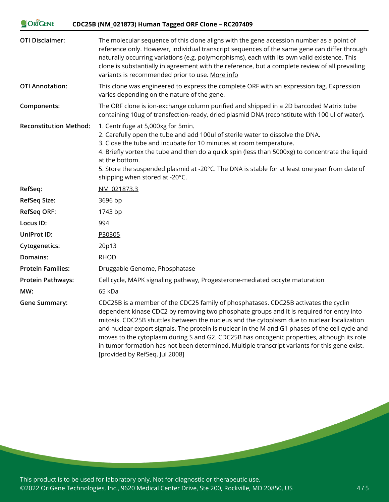| <b>ORIGENE</b>                | CDC25B (NM_021873) Human Tagged ORF Clone - RC207409                                                                                                                                                                                                                                                                                                                                                                                                                                                                                                                            |
|-------------------------------|---------------------------------------------------------------------------------------------------------------------------------------------------------------------------------------------------------------------------------------------------------------------------------------------------------------------------------------------------------------------------------------------------------------------------------------------------------------------------------------------------------------------------------------------------------------------------------|
| <b>OTI Disclaimer:</b>        | The molecular sequence of this clone aligns with the gene accession number as a point of<br>reference only. However, individual transcript sequences of the same gene can differ through<br>naturally occurring variations (e.g. polymorphisms), each with its own valid existence. This<br>clone is substantially in agreement with the reference, but a complete review of all prevailing<br>variants is recommended prior to use. More info                                                                                                                                  |
| <b>OTI Annotation:</b>        | This clone was engineered to express the complete ORF with an expression tag. Expression<br>varies depending on the nature of the gene.                                                                                                                                                                                                                                                                                                                                                                                                                                         |
| Components:                   | The ORF clone is ion-exchange column purified and shipped in a 2D barcoded Matrix tube<br>containing 10ug of transfection-ready, dried plasmid DNA (reconstitute with 100 ul of water).                                                                                                                                                                                                                                                                                                                                                                                         |
| <b>Reconstitution Method:</b> | 1. Centrifuge at 5,000xg for 5min.<br>2. Carefully open the tube and add 100ul of sterile water to dissolve the DNA.<br>3. Close the tube and incubate for 10 minutes at room temperature.<br>4. Briefly vortex the tube and then do a quick spin (less than 5000xg) to concentrate the liquid<br>at the bottom.<br>5. Store the suspended plasmid at -20°C. The DNA is stable for at least one year from date of<br>shipping when stored at -20°C.                                                                                                                             |
| RefSeq:                       | NM 021873.3                                                                                                                                                                                                                                                                                                                                                                                                                                                                                                                                                                     |
| <b>RefSeq Size:</b>           | 3696 bp                                                                                                                                                                                                                                                                                                                                                                                                                                                                                                                                                                         |
| <b>RefSeq ORF:</b>            | 1743 bp                                                                                                                                                                                                                                                                                                                                                                                                                                                                                                                                                                         |
| Locus ID:                     | 994                                                                                                                                                                                                                                                                                                                                                                                                                                                                                                                                                                             |
| UniProt ID:                   | P30305                                                                                                                                                                                                                                                                                                                                                                                                                                                                                                                                                                          |
| <b>Cytogenetics:</b>          | 20p13                                                                                                                                                                                                                                                                                                                                                                                                                                                                                                                                                                           |
| Domains:                      | <b>RHOD</b>                                                                                                                                                                                                                                                                                                                                                                                                                                                                                                                                                                     |
| <b>Protein Families:</b>      | Druggable Genome, Phosphatase                                                                                                                                                                                                                                                                                                                                                                                                                                                                                                                                                   |
| <b>Protein Pathways:</b>      | Cell cycle, MAPK signaling pathway, Progesterone-mediated oocyte maturation                                                                                                                                                                                                                                                                                                                                                                                                                                                                                                     |
| MW:                           | 65 kDa                                                                                                                                                                                                                                                                                                                                                                                                                                                                                                                                                                          |
| <b>Gene Summary:</b>          | CDC25B is a member of the CDC25 family of phosphatases. CDC25B activates the cyclin<br>dependent kinase CDC2 by removing two phosphate groups and it is required for entry into<br>mitosis. CDC25B shuttles between the nucleus and the cytoplasm due to nuclear localization<br>and nuclear export signals. The protein is nuclear in the M and G1 phases of the cell cycle and<br>moves to the cytoplasm during S and G2. CDC25B has oncogenic properties, although its role<br>in tumor formation has not been determined. Multiple transcript variants for this gene exist. |

This product is to be used for laboratory only. Not for diagnostic or therapeutic use. ©2022 OriGene Technologies, Inc., 9620 Medical Center Drive, Ste 200, Rockville, MD 20850, US

[provided by RefSeq, Jul 2008]